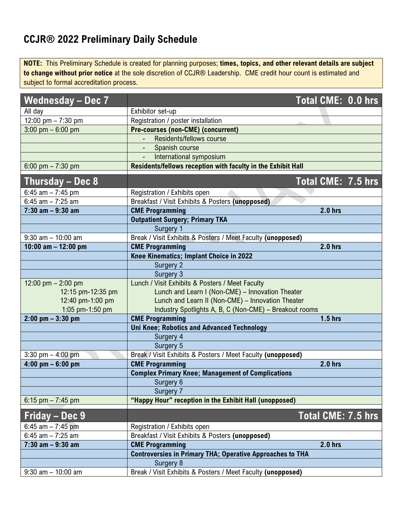## **CCJR® 2022 Preliminary Daily Schedule**

**NOTE:** This Preliminary Schedule is created for planning purposes; **times, topics, and other relevant details are subject to change without prior notice** at the sole discretion of CCJR® Leadership. CME credit hour count is estimated and subject to formal accreditation process.

| <b>Wednesday - Dec 7</b> | Total CME: 0.0 hrs                                               |  |
|--------------------------|------------------------------------------------------------------|--|
| All day                  | Exhibitor set-up                                                 |  |
| 12:00 pm $- 7:30$ pm     | Registration / poster installation                               |  |
| 3:00 pm $-6:00$ pm       | <b>Pre-courses (non-CME) (concurrent)</b>                        |  |
|                          | Residents/fellows course                                         |  |
|                          | Spanish course<br>$\sim 100$                                     |  |
|                          | International symposium                                          |  |
| 6:00 pm $- 7:30$ pm      | Residents/fellows reception with faculty in the Exhibit Hall     |  |
| Thursday - Dec 8         | Total CME: 7.5 hrs                                               |  |
| 6:45 am $- 7:45$ pm      | Registration / Exhibits open                                     |  |
| 6:45 am $- 7:25$ am      | Breakfast / Visit Exhibits & Posters (unopposed)                 |  |
| $7:30$ am $-9:30$ am     | <b>CME Programming</b><br><b>2.0 hrs</b>                         |  |
|                          | <b>Outpatient Surgery; Primary TKA</b>                           |  |
|                          | Surgery 1                                                        |  |
| $9:30$ am $-10:00$ am    | Break / Visit Exhibits & Posters / Meet Faculty (unopposed)      |  |
| 10:00 am $-$ 12:00 pm    | <b>CME Programming</b><br>2.0 hrs                                |  |
|                          | Knee Kinematics; Implant Choice in 2022                          |  |
|                          | Surgery 2                                                        |  |
|                          | Surgery 3                                                        |  |
| 12:00 pm $- 2:00$ pm     | Lunch / Visit Exhibits & Posters / Meet Faculty                  |  |
| 12:15 pm-12:35 pm        | Lunch and Learn I (Non-CME) - Innovation Theater                 |  |
| 12:40 pm-1:00 pm         | Lunch and Learn II (Non-CME) - Innovation Theater                |  |
| 1:05 pm-1:50 pm          | Industry Spotlights A, B, C (Non-CME) - Breakout rooms           |  |
| $2:00$ pm $-3:30$ pm     | <b>CME Programming</b><br>$1.5$ hrs                              |  |
|                          | <b>Uni Knee; Robotics and Advanced Technology</b>                |  |
|                          | Surgery 4                                                        |  |
|                          | Surgery 5                                                        |  |
| 3:30 pm $-$ 4:00 pm      | Break / Visit Exhibits & Posters / Meet Faculty (unopposed)      |  |
| $4:00$ pm $-6:00$ pm     | <b>2.0 hrs</b><br><b>CME Programming</b>                         |  |
|                          | <b>Complex Primary Knee; Management of Complications</b>         |  |
|                          | Surgery 6                                                        |  |
|                          | Surgery 7                                                        |  |
| 6:15 pm $- 7:45$ pm      | "Happy Hour" reception in the Exhibit Hall (unopposed)           |  |
| Friday – Dec 9           | Total CME: 7.5 hrs                                               |  |
| 6:45 am $- 7:45$ pm      | Registration / Exhibits open                                     |  |
| $6:45$ am $- 7:25$ am    | Breakfast / Visit Exhibits & Posters (unopposed)                 |  |
| $7:30$ am $-9:30$ am     | <b>2.0 hrs</b><br><b>CME Programming</b>                         |  |
|                          | <b>Controversies in Primary THA; Operative Approaches to THA</b> |  |
|                          | Surgery 8                                                        |  |
| $9:30$ am $-10:00$ am    | Break / Visit Exhibits & Posters / Meet Faculty (unopposed)      |  |